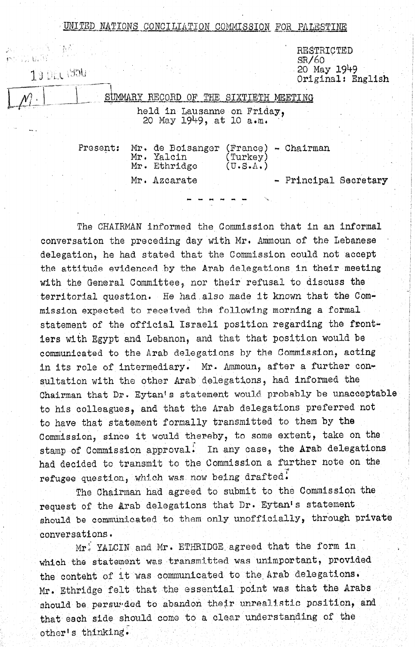| UNITED      | NATIONS CONCILIATION COMMISSION                        | FOR PALESTINE                                  |                                      |
|-------------|--------------------------------------------------------|------------------------------------------------|--------------------------------------|
|             |                                                        | SR/60                                          | RESTRICTED                           |
| 19 DEC 1950 |                                                        |                                                | $20$ May $1949$<br>Original: English |
|             | SUMMARY RECORD OF THE SIXTIETH                         | MEETING                                        |                                      |
|             | held in Lausanne on Friday,<br>20 May 1949, at 10 a.m. |                                                |                                      |
| Present:    | Mr. de Boisanger<br>Mr. Yalcin<br>Mr. Ethridge         | - Chairman<br>(France)<br>(Turkey)<br>(U.S.A.) |                                      |
|             | Mr. Azcarate                                           |                                                | - Principal Secretary                |
|             |                                                        |                                                |                                      |

The CHAIRMAN informed the Commission that in an informal conversation the preceding day with Mr. Ammoun of the Lebanese delegation, he had stated that the Commission could not accept the attitude evidenced by the Arab delegations in their meeting with the General Committee, nor their refusal to discuss the territorial question. He had ,also made it known that the Commission expected to received the following morning a formal statement of the official Israeli position regarding the frontiers with Egypt and Lebanon, and that that position would be communicated to the Arab delegations by the Commission, acting in its role of intermediary. Mr. Ammoun, after a further consultation with the other Arab delegations, had informed the Chairman that Dr. Eytant s statement would probably be unacceptable to his colleagues, and that the Arab delegations preferred not to have that statement formally transmitted to them by the Commission, since it would thereby, to some extent, take on the stamp of Commission approval. In any case, the Arab delegations had decided to transmit to the Commission a further note on the requestion of dramping of the demonstration The Chairman had agreed to submit to submit the Commission terms of the Commission the Commission the Commission the Commission the Commission terms of the Commission terms of the Commission terms of the Commission terms o

request of the Arab delessed of the Common statement of the Dr. Extends of the Dr. Extends of the Dr. Extends of the Dr. Extends of the Dr. Extends of the Dr. Extends of the Dr. Extends of the Dr. Extends of the Dr. Extend should be communicated to the communication on the communication of the second three communications of the communication of the communication of the communication of the communication of the communication of the communicat should be communicated to them only unofficially, through private conversations.

 $Mr$ , YALCIN and Mr. ETHRIDGE agreed that the form in which the statement was transmitted was union was unimportant,  $\frac{1}{2}$ MITCH fine 2 net neutrino was communicated was communicated to the the content of it was communicated to the Arab delegations. Mr. Ethridge felt that the essential point was that the Arabs should be persunded to abandon their unrealistic position, and that each side should come to a clear understanding of the other's thinking.